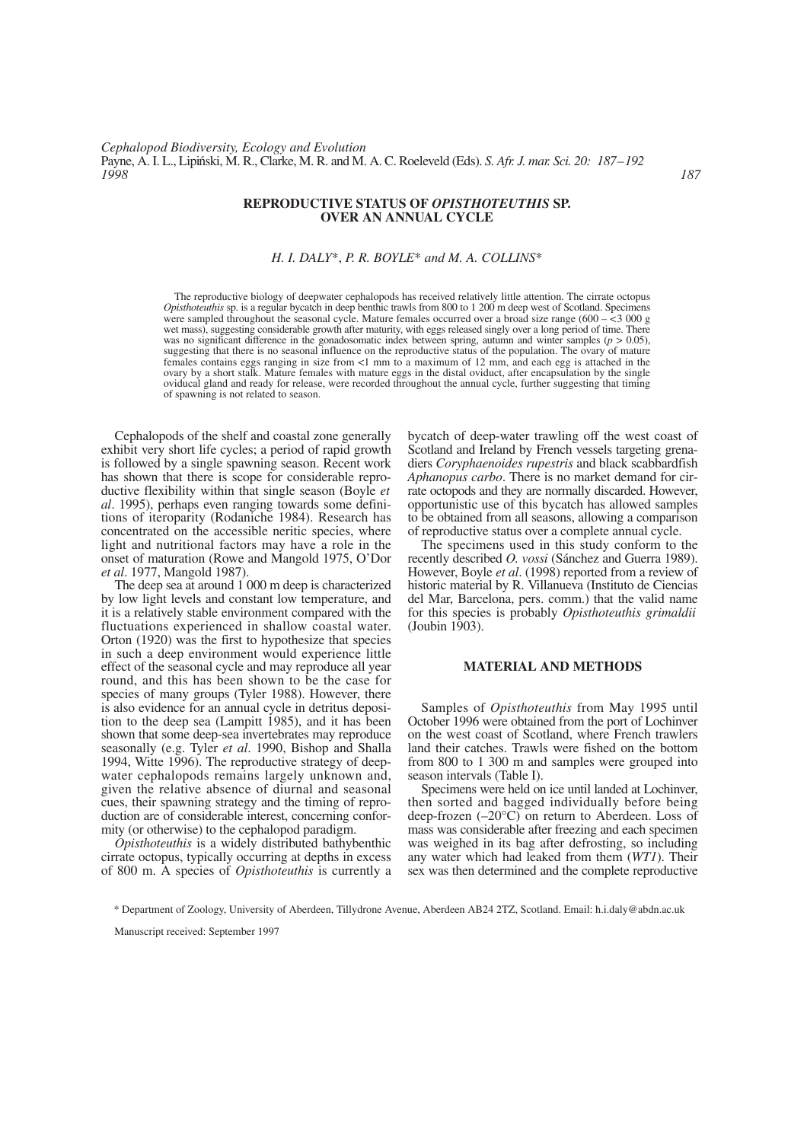#### **REPRODUCTIVE STATUS OF** *OPISTHOTEUTHIS* **SP. OVER AN ANNUAL CYCLE**

# *H. I. DALY*\*, *P. R. BOYLE*\* *and M. A. COLLINS*\*

The reproductive biology of deepwater cephalopods has received relatively little attention. The cirrate octopus *Opisthoteuthis* sp. is a regular bycatch in deep benthic trawls from 800 to 1 200 m deep west of Scotland. Specimens were sampled throughout the seasonal cycle. Mature females occurred over a broad size range (600 –  $\leq$  3 000 g wet mass), suggesting considerable growth after maturity, with eggs released singly over a long period of time. There was no significant difference in the gonadosomatic index between spring, autumn and winter samples (*p* > 0.05), suggesting that there is no seasonal influence on the reproductive status of the population. The ovary of mature females contains eggs ranging in size from <1 mm to a maximum of 12 mm, and each egg is attached in the ovary by a short stalk. Mature females with mature eggs in the distal oviduct, after encapsulation by the single oviducal gland and ready for release, were recorded throughout the annual cycle, further suggesting that timing of spawning is not related to season.

Cephalopods of the shelf and coastal zone generally exhibit very short life cycles; a period of rapid growth is followed by a single spawning season. Recent work has shown that there is scope for considerable reproductive flexibility within that single season (Boyle *et al*. 1995), perhaps even ranging towards some definitions of iteroparity (Rodaniche 1984). Research has concentrated on the accessible neritic species, where light and nutritional factors may have a role in the onset of maturation (Rowe and Mangold 1975, O'Dor *et al*. 1977, Mangold 1987).

The deep sea at around 1 000 m deep is characterized by low light levels and constant low temperature, and it is a relatively stable environment compared with the fluctuations experienced in shallow coastal water. Orton (1920) was the first to hypothesize that species in such a deep environment would experience little effect of the seasonal cycle and may reproduce all year round, and this has been shown to be the case for species of many groups (Tyler 1988). However, there is also evidence for an annual cycle in detritus deposition to the deep sea (Lampitt 1985), and it has been shown that some deep-sea invertebrates may reproduce seasonally (e.g. Tyler *et al*. 1990, Bishop and Shalla 1994, Witte 1996). The reproductive strategy of deepwater cephalopods remains largely unknown and, given the relative absence of diurnal and seasonal cues, their spawning strategy and the timing of reproduction are of considerable interest, concerning conformity (or otherwise) to the cephalopod paradigm.

*Opisthoteuthis* is a widely distributed bathybenthic cirrate octopus, typically occurring at depths in excess of 800 m. A species of *Opisthoteuthis* is currently a bycatch of deep-water trawling off the west coast of Scotland and Ireland by French vessels targeting grenadiers *Coryphaenoides rupestris* and black scabbardfish *Aphanopus carbo*. There is no market demand for cirrate octopods and they are normally discarded. However, opportunistic use of this bycatch has allowed samples to be obtained from all seasons, allowing a comparison of reproductive status over a complete annual cycle.

The specimens used in this study conform to the recently described *O. vossi* (Sánchez and Guerra 1989). However, Boyle *et al*. (1998) reported from a review of historic material by R. Villanueva (Instituto de Ciencias del Mar, Barcelona, pers. comm.) that the valid name for this species is probably *Opisthoteuthis grimaldii* (Joubin 1903).

### **MATERIAL AND METHODS**

Samples of *Opisthoteuthis* from May 1995 until October 1996 were obtained from the port of Lochinver on the west coast of Scotland, where French trawlers land their catches. Trawls were fished on the bottom from 800 to 1 300 m and samples were grouped into season intervals (Table I).

Specimens were held on ice until landed at Lochinver, then sorted and bagged individually before being deep-frozen (–20°C) on return to Aberdeen. Loss of mass was considerable after freezing and each specimen was weighed in its bag after defrosting, so including any water which had leaked from them (*WT1*). Their sex was then determined and the complete reproductive

Manuscript received: September 1997

<sup>\*</sup> Department of Zoology, University of Aberdeen, Tillydrone Avenue, Aberdeen AB24 2TZ, Scotland. Email: h.i.daly@abdn.ac.uk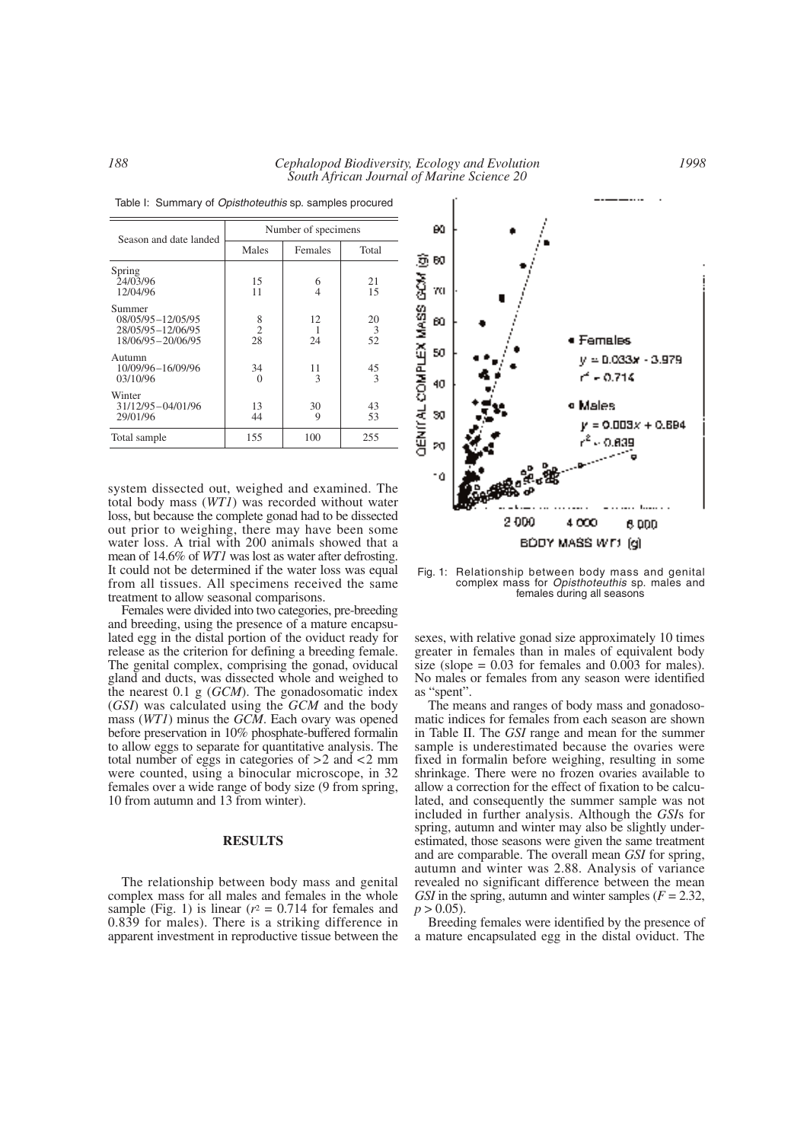|                                                                         | Number of specimens       |                     |               |  |  |
|-------------------------------------------------------------------------|---------------------------|---------------------|---------------|--|--|
| Season and date landed                                                  | Males                     | Females             | Total         |  |  |
| Spring<br>24/03/96<br>12/04/96                                          | 15<br>11                  | 6<br>$\overline{4}$ | 21<br>15      |  |  |
| Summer<br>08/05/95-12/05/95<br>28/05/95-12/06/95<br>18/06/95 - 20/06/95 | 8<br>$\overline{2}$<br>28 | 12<br>24            | 20<br>3<br>52 |  |  |
| Autumn<br>10/09/96-16/09/96<br>03/10/96                                 | 34<br>$\Omega$            | 11<br>3             | 45<br>3       |  |  |
| Winter<br>31/12/95-04/01/96<br>29/01/96                                 | 13<br>44                  | 30<br>9             | 43<br>53      |  |  |
| Total sample                                                            | 155                       | 100                 | 255           |  |  |

Table I: Summary of *Opisthoteuthis* sp. samples procured

system dissected out, weighed and examined. The total body mass (*WT1*) was recorded without water loss, but because the complete gonad had to be dissected out prior to weighing, there may have been some water loss. A trial with 200 animals showed that a mean of 14.6% of *WT1* was lost as water after defrosting. It could not be determined if the water loss was equal from all tissues. All specimens received the same treatment to allow seasonal comparisons.

Females were divided into two categories, pre-breeding and breeding, using the presence of a mature encapsulated egg in the distal portion of the oviduct ready for release as the criterion for defining a breeding female. The genital complex, comprising the gonad, oviducal gland and ducts, was dissected whole and weighed to the nearest 0.1 g (*GCM*). The gonadosomatic index (*GSI*) was calculated using the *GCM* and the body mass (*WT1*) minus the *GCM*. Each ovary was opened before preservation in 10% phosphate-buffered formalin to allow eggs to separate for quantitative analysis. The total number of eggs in categories of >2 and <2 mm were counted, using a binocular microscope, in 32 females over a wide range of body size (9 from spring, 10 from autumn and 13 from winter).

## **RESULTS**

The relationship between body mass and genital complex mass for all males and females in the whole sample (Fig. 1) is linear  $(r^2 = 0.714$  for females and 0.839 for males). There is a striking difference in apparent investment in reproductive tissue between the



Fig. 1: Relationship between body mass and genital complex mass for *Opisthoteuthis* sp. males and females during all seasons

sexes, with relative gonad size approximately 10 times greater in females than in males of equivalent body size (slope  $= 0.03$  for females and 0.003 for males). No males or females from any season were identified as "spent".

The means and ranges of body mass and gonadosomatic indices for females from each season are shown in Table II. The *GSI* range and mean for the summer sample is underestimated because the ovaries were fixed in formalin before weighing, resulting in some shrinkage. There were no frozen ovaries available to allow a correction for the effect of fixation to be calculated, and consequently the summer sample was not included in further analysis. Although the *GSI*s for spring, autumn and winter may also be slightly underestimated, those seasons were given the same treatment and are comparable. The overall mean *GSI* for spring, autumn and winter was 2.88. Analysis of variance revealed no significant difference between the mean *GSI* in the spring, autumn and winter samples  $(F = 2.32)$ ,  $p > 0.05$ ).

Breeding females were identified by the presence of a mature encapsulated egg in the distal oviduct. The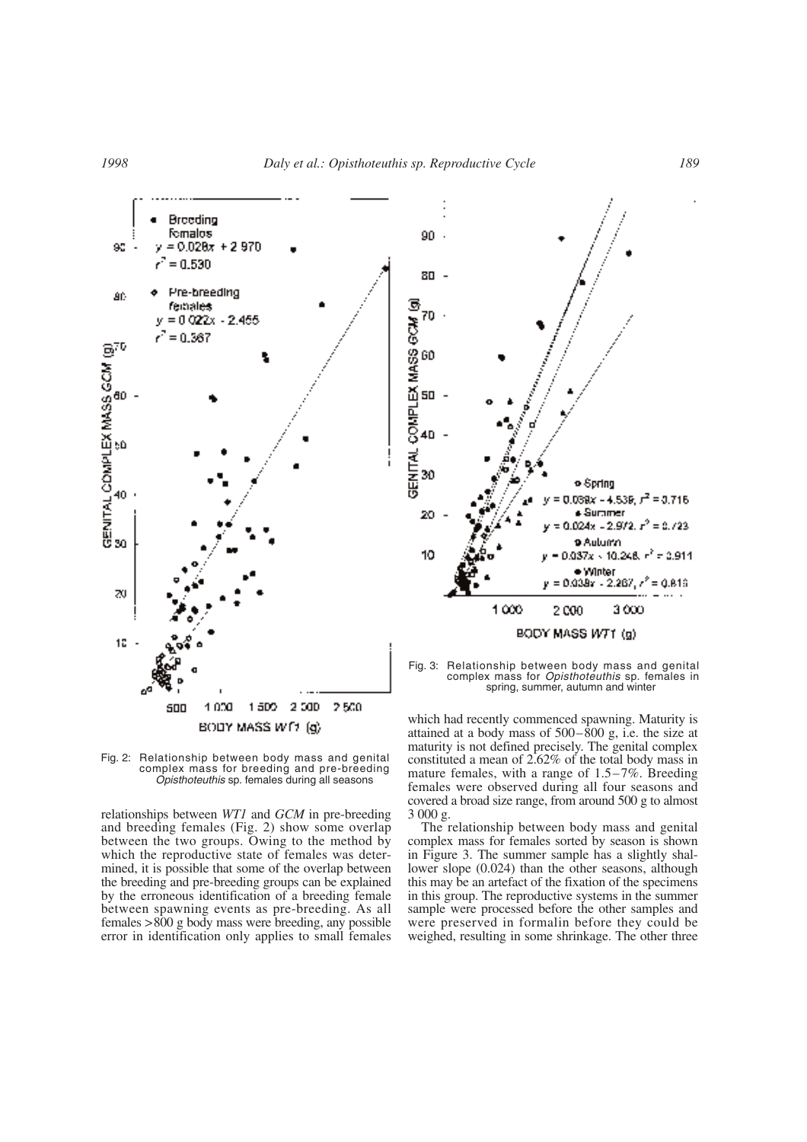



relationships between *WT1* and *GCM* in pre-breeding and breeding females (Fig. 2) show some overlap between the two groups. Owing to the method by which the reproductive state of females was determined, it is possible that some of the overlap between the breeding and pre-breeding groups can be explained by the erroneous identification of a breeding female between spawning events as pre-breeding. As all females >800 g body mass were breeding, any possible error in identification only applies to small females



Fig. 3: Relationship between body mass and genital complex mass for *Opisthoteuthis* sp. females in spring, summer, autumn and winter

which had recently commenced spawning. Maturity is attained at a body mass of  $500-\overline{800}$  g, i.e. the size at maturity is not defined precisely. The genital complex constituted a mean of 2.62% of the total body mass in mature females, with a range of 1.5–7%. Breeding females were observed during all four seasons and covered a broad size range, from around 500 g to almost 3 000 g.

The relationship between body mass and genital complex mass for females sorted by season is shown in Figure 3. The summer sample has a slightly shallower slope (0.024) than the other seasons, although this may be an artefact of the fixation of the specimens in this group. The reproductive systems in the summer sample were processed before the other samples and were preserved in formalin before they could be weighed, resulting in some shrinkage. The other three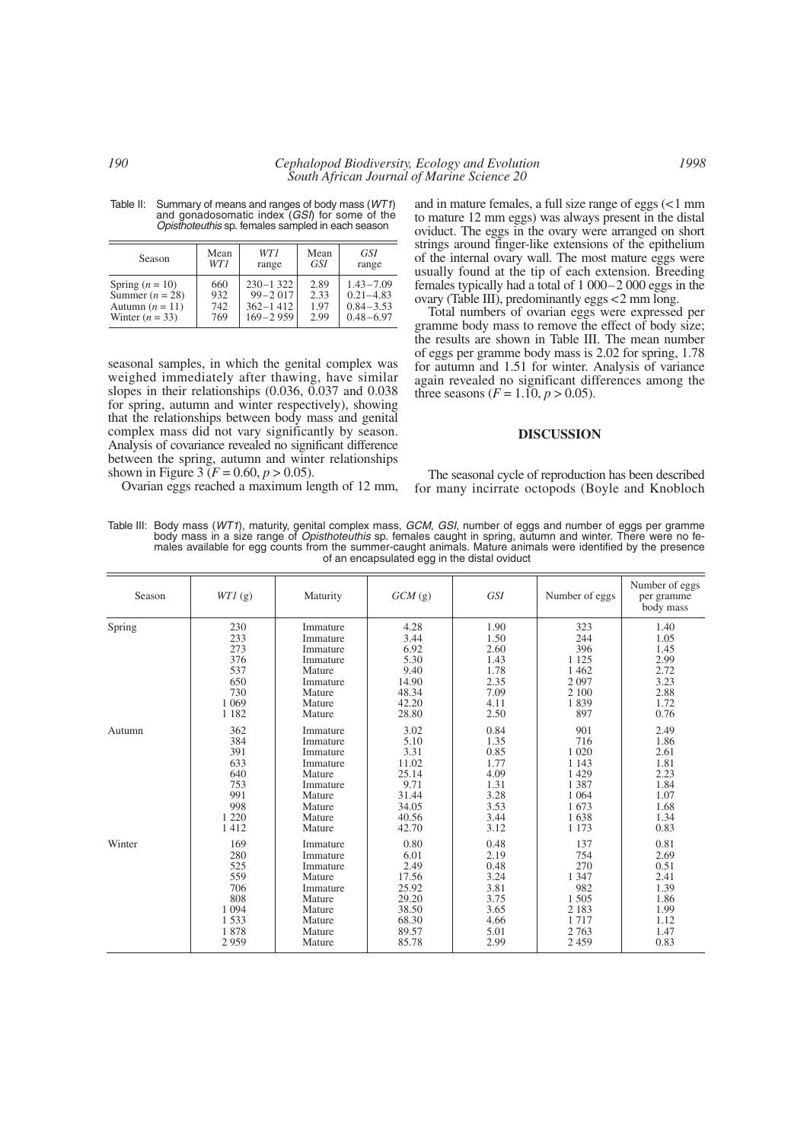| Season            | Mean | WT1          | Mean | GSI           |  |
|-------------------|------|--------------|------|---------------|--|
|                   | WT1  | range        | GSI  | range         |  |
| Spring $(n = 10)$ | 660  | $230 - 1322$ | 2.89 | $1.43 - 7.09$ |  |
| Summer $(n = 28)$ | 932  | $99 - 2017$  | 2.33 | $0.21 - 4.83$ |  |
| Autumn $(n = 11)$ | 742  | $362 - 1412$ | 1.97 | $0.84 - 3.53$ |  |
| Winter $(n = 33)$ | 769  | $169 - 2959$ | 2.99 | $0.48 - 6.97$ |  |

Table II: Summary of means and ranges of body mass (*WT1*) and gonadosomatic index (*GSI*) for some of the *Opisthoteuthis* sp. females sampled in each season

seasonal samples, in which the genital complex was weighed immediately after thawing, have similar slopes in their relationships (0.036, 0.037 and 0.038 for spring, autumn and winter respectively), showing that the relationships between body mass and genital complex mass did not vary significantly by season. Analysis of covariance revealed no significant difference between the spring, autumn and winter relationships shown in Figure 3 ( $F = 0.60, p > 0.05$ ).

Ovarian eggs reached a maximum length of 12 mm,

and in mature females, a full size range of eggs (<1 mm to mature 12 mm eggs) was always present in the distal oviduct. The eggs in the ovary were arranged on short strings around finger-like extensions of the epithelium of the internal ovary wall. The most mature eggs were usually found at the tip of each extension. Breeding females typically had a total of 1 000–2 000 eggs in the ovary (Table III), predominantly eggs <2 mm long.

Total numbers of ovarian eggs were expressed per gramme body mass to remove the effect of body size; the results are shown in Table III. The mean number of eggs per gramme body mass is 2.02 for spring, 1.78 for autumn and 1.51 for winter. Analysis of variance again revealed no significant differences among the three seasons  $(F = 1.10, p > 0.05)$ .

#### **DISCUSSION**

The seasonal cycle of reproduction has been described for many incirrate octopods (Boyle and Knobloch

Table III: Body mass (*WT1*), maturity, genital complex mass, *GCM*, *GSI*, number of eggs and number of eggs per gramme body mass in a size range of *Opisthoteuthis* sp. females caught in spring, autumn and winter. There were no females available for egg counts from the summer-caught animals. Mature animals were identified by the presence of an encapsulated egg in the distal oviduct

| Season | WT1(g)  | Maturity | $GCM$ (g) | <b>GSI</b> | Number of eggs | Number of eggs<br>per gramme<br>body mass |
|--------|---------|----------|-----------|------------|----------------|-------------------------------------------|
| Spring | 230     | Immature | 4.28      | 1.90       | 323            | 1.40                                      |
|        | 233     | Immature | 3.44      | 1.50       | 244            | 1.05                                      |
|        | 273     | Immature | 6.92      | 2.60       | 396            | 1.45                                      |
|        | 376     | Immature | 5.30      | 1.43       | 1 1 2 5        | 2.99                                      |
|        | 537     | Mature   | 9.40      | 1.78       | 1 4 6 2        | 2.72                                      |
|        | 650     | Immature | 14.90     | 2.35       | 2097           | 3.23                                      |
|        | 730     | Mature   | 48.34     | 7.09       | 2 100          | 2.88                                      |
|        | 1 0 6 9 | Mature   | 42.20     | 4.11       | 1839           | 1.72                                      |
|        | 1 1 8 2 | Mature   | 28.80     | 2.50       | 897            | 0.76                                      |
| Autumn | 362     | Immature | 3.02      | 0.84       | 901            | 2.49                                      |
|        | 384     | Immature | 5.10      | 1.35       | 716            | 1.86                                      |
|        | 391     | Immature | 3.31      | 0.85       | 1 0 2 0        | 2.61                                      |
|        | 633     | Immature | 11.02     | 1.77       | 1 1 4 3        | 1.81                                      |
|        | 640     | Mature   | 25.14     | 4.09       | 1 4 2 9        | 2.23                                      |
|        | 753     | Immature | 9.71      | 1.31       | 1 3 8 7        | 1.84                                      |
|        | 991     | Mature   | 31.44     | 3.28       | 1 0 6 4        | 1.07                                      |
|        | 998     | Mature   | 34.05     | 3.53       | 1673           | 1.68                                      |
|        | 1 2 2 0 | Mature   | 40.56     | 3.44       | 1638           | 1.34                                      |
|        | 1412    | Mature   | 42.70     | 3.12       | 1 1 7 3        | 0.83                                      |
| Winter | 169     | Immature | 0.80      | 0.48       | 137            | 0.81                                      |
|        | 280     | Immature | 6.01      | 2.19       | 754            | 2.69                                      |
|        | 525     | Immature | 2.49      | 0.48       | 270            | 0.51                                      |
|        | 559     | Mature   | 17.56     | 3.24       | 1 3 4 7        | 2.41                                      |
|        | 706     | Immature | 25.92     | 3.81       | 982            | 1.39                                      |
|        | 808     | Mature   | 29.20     | 3.75       | 1505           | 1.86                                      |
|        | 1 0 9 4 | Mature   | 38.50     | 3.65       | 2 1 8 3        | 1.99                                      |
|        | 1533    | Mature   | 68.30     | 4.66       | 1717           | 1.12                                      |
|        | 1878    | Mature   | 89.57     | 5.01       | 2763           | 1.47                                      |
|        | 2959    | Mature   | 85.78     | 2.99       | 2459           | 0.83                                      |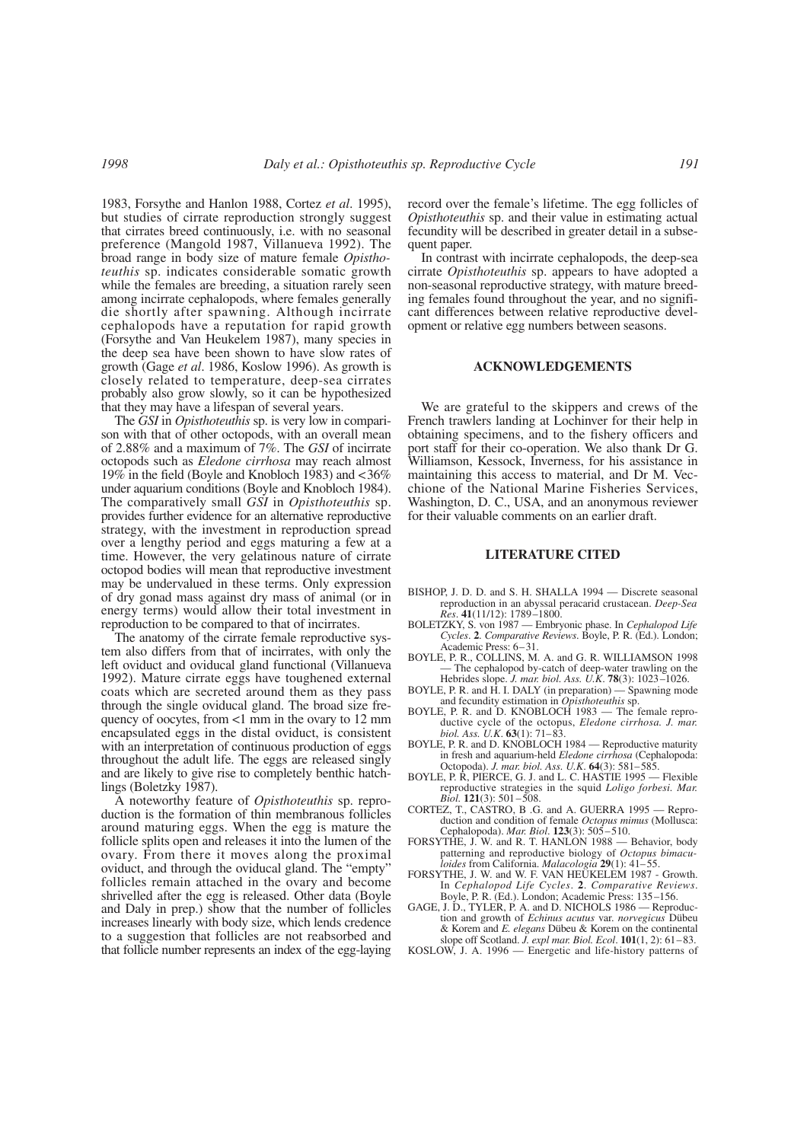1983, Forsythe and Hanlon 1988, Cortez *et al*. 1995), but studies of cirrate reproduction strongly suggest that cirrates breed continuously, i.e. with no seasonal preference (Mangold 1987, Villanueva 1992). The broad range in body size of mature female *Opisthoteuthis* sp. indicates considerable somatic growth while the females are breeding, a situation rarely seen among incirrate cephalopods, where females generally die shortly after spawning. Although incirrate cephalopods have a reputation for rapid growth (Forsythe and Van Heukelem 1987), many species in the deep sea have been shown to have slow rates of growth (Gage *et al*. 1986, Koslow 1996). As growth is closely related to temperature, deep-sea cirrates probably also grow slowly, so it can be hypothesized that they may have a lifespan of several years.

The *GSI* in *Opisthoteuthis* sp. is very low in comparison with that of other octopods, with an overall mean of 2.88% and a maximum of 7%. The *GSI* of incirrate octopods such as *Eledone cirrhosa* may reach almost 19% in the field (Boyle and Knobloch 1983) and <36% under aquarium conditions (Boyle and Knobloch 1984). The comparatively small *GSI* in *Opisthoteuthis* sp. provides further evidence for an alternative reproductive strategy, with the investment in reproduction spread over a lengthy period and eggs maturing a few at a time. However, the very gelatinous nature of cirrate octopod bodies will mean that reproductive investment may be undervalued in these terms. Only expression of dry gonad mass against dry mass of animal (or in energy terms) would allow their total investment in reproduction to be compared to that of incirrates.

The anatomy of the cirrate female reproductive system also differs from that of incirrates, with only the left oviduct and oviducal gland functional (Villanueva 1992). Mature cirrate eggs have toughened external coats which are secreted around them as they pass through the single oviducal gland. The broad size frequency of oocytes, from <1 mm in the ovary to 12 mm encapsulated eggs in the distal oviduct, is consistent with an interpretation of continuous production of eggs throughout the adult life. The eggs are released singly and are likely to give rise to completely benthic hatchlings (Boletzky 1987).

A noteworthy feature of *Opisthoteuthis* sp. reproduction is the formation of thin membranous follicles around maturing eggs. When the egg is mature the follicle splits open and releases it into the lumen of the ovary. From there it moves along the proximal oviduct, and through the oviducal gland. The "empty" follicles remain attached in the ovary and become shrivelled after the egg is released. Other data (Boyle and Daly in prep.) show that the number of follicles increases linearly with body size, which lends credence to a suggestion that follicles are not reabsorbed and that follicle number represents an index of the egg-laying record over the female's lifetime. The egg follicles of *Opisthoteuthis* sp. and their value in estimating actual fecundity will be described in greater detail in a subsequent paper.

In contrast with incirrate cephalopods, the deep-sea cirrate *Opisthoteuthis* sp. appears to have adopted a non-seasonal reproductive strategy, with mature breeding females found throughout the year, and no significant differences between relative reproductive development or relative egg numbers between seasons.

#### **ACKNOWLEDGEMENTS**

We are grateful to the skippers and crews of the French trawlers landing at Lochinver for their help in obtaining specimens, and to the fishery officers and port staff for their co-operation. We also thank Dr G. Williamson, Kessock, Inverness, for his assistance in maintaining this access to material, and Dr M. Vecchione of the National Marine Fisheries Services, Washington, D. C., USA, and an anonymous reviewer for their valuable comments on an earlier draft.

## **LITERATURE CITED**

- BISHOP, J. D. D. and S. H. SHALLA 1994 Discrete seasonal reproduction in an abyssal peracarid crustacean. *Deep-Sea Res*. **41**(11/12): 1789–1800.
- BOLETZKY, S. von 1987 Embryonic phase. In *Cephalopod Life Cycles*. **2**. *Comparative Reviews*. Boyle, P. R. (Ed.). London; Academic Press: 6–31.
- BOYLE, P. R., COLLINS, M. A. and G. R. WILLIAMSON 1998 — The cephalopod by-catch of deep-water trawling on the Hebrides slope. *J. mar. biol. Ass. U.K*. **78**(3): 1023–1026.
- BOYLE, P. R. and H. I. DALY (in preparation) Spawning mode and fecundity estimation in *Opisthoteuthis* sp.
- BOYLE, P. R. and D. KNOBLOCH 1983 The female reproductive cycle of the octopus, *Eledone cirrhosa. J. mar. biol. Ass. U.K*. **63**(1): 71–83.
- BOYLE, P. R. and D. KNOBLOCH 1984 Reproductive maturity in fresh and aquarium-held *Eledone cirrhosa* (Cephalopoda: Octopoda). *J. mar. biol. Ass. U.K*. **64**(3): 581–585.
- BOYLE, P. R, PIERCE, G. J. and L. C. HASTIE 1995 Flexible reproductive strategies in the squid *Loligo forbesi. Mar. Biol.* **121**(3): 501–508.
- CORTEZ, T., CASTRO, B .G. and A. GUERRA 1995 Reproduction and condition of female *Octopus mimus* (Mollusca: Cephalopoda). *Mar. Biol*. **123**(3): 505–510.
- FORSYTHE, J. W. and R. T. HANLON 1988 Behavior, body patterning and reproductive biology of *Octopus bimaculoides* from California. *Malacologia* **29**(1): 41–55.
- FORSYTHE, J. W. and W. F. VAN HEUKELEM 1987 Growth. In *Cephalopod Life Cycles*. **2**. *Comparative Reviews*. Boyle, P. R. (Ed.). London; Academic Press: 135–156.
- GAGE, J. D., TYLER, P. A. and D. NICHOLS 1986 Reproduction and growth of *Echinus acutus* var. *norvegicus* Dübeu & Korem and *E. elegans* Dübeu & Korem on the continental slope off Scotland. *J. expl mar. Biol. Ecol*. **101**(1, 2): 61–83.
- KOSLOW, J. A. 1996 Energetic and life-history patterns of